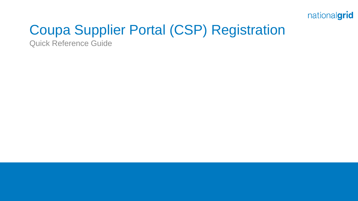

# Coupa Supplier Portal (CSP) Registration

Quick Reference Guide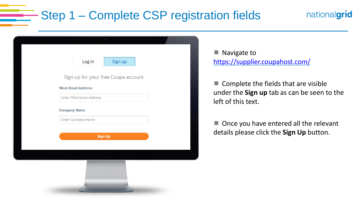## Step 1 – Complete CSP registration fields

| Log in<br>Sign up<br>Sign up for your free Coupa account<br><b>Work Email Address</b><br><b>Enter Work Email Address</b><br><b>Company Name</b><br><b>Enter Company Name</b><br><b>Sign Up</b> |  |  |  |  |
|------------------------------------------------------------------------------------------------------------------------------------------------------------------------------------------------|--|--|--|--|
|                                                                                                                                                                                                |  |  |  |  |
|                                                                                                                                                                                                |  |  |  |  |
|                                                                                                                                                                                                |  |  |  |  |
|                                                                                                                                                                                                |  |  |  |  |
|                                                                                                                                                                                                |  |  |  |  |
|                                                                                                                                                                                                |  |  |  |  |
|                                                                                                                                                                                                |  |  |  |  |
|                                                                                                                                                                                                |  |  |  |  |
|                                                                                                                                                                                                |  |  |  |  |
|                                                                                                                                                                                                |  |  |  |  |
|                                                                                                                                                                                                |  |  |  |  |

**Navigate to** <https://supplier.coupahost.com/>

 $\blacksquare$  Complete the fields that are visible under the **Sign up** tab as can be seen to the left of this text.

nationalgrid

■ Once you have entered all the relevant details please click the **Sign Up** button.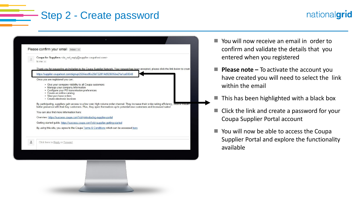#### Step 2 - Create password

#### Please confirm your email Inbox x Coupa for Suppliers <do\_not\_reply@supplier.coupahost.com> to me  $\overline{\mathbf{v}}$ Thank you for requesting an invitation to the Coupa Supplier Network. Your request has been accepted, please click the link below to creathttps://supplier.coupahost.com/signup/2656ecdf0c28d7228f14d920695be21a1ca08848 Once you are registered you can: • Give your company visibility to all Coupa customers • Manage your company information • Configure your PO transmission preferences · Create an online catalog • View purchase orders · Create electronic invoices By participating, suppliers gain access to a low cost, high volume order channel. They increase their order-taking efficiency, require rms better presence with their key customers. Plus, they open themselves up to potential new customers and increased sales! You can also find more information here Overview: https://success.coupa.com?cid=introducinq-supplier-portal Getting started guide: https://success.coupa.com?cid=supplier-getting-started By using this site, you agree to the Coupa Terms & Conditions which can be accessed here Click here to Reply or Forward

■ You will now receive an email in order to confirm and validate the details that you entered when you registered

nationalgrid

- **Please note** To activate the account you have created you will need to select the link within the email
- This has been highlighted with a black box
- Click the link and create a password for your Coupa Supplier Portal account
- You will now be able to access the Coupa Supplier Portal and explore the functionality available